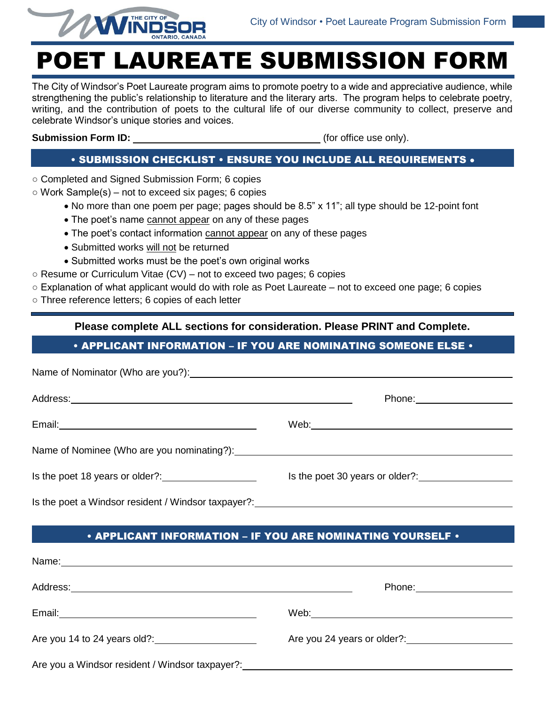

# POET LAUREATE SUBMISSION FORM

The City of Windsor's Poet Laureate program aims to promote poetry to a wide and appreciative audience, while strengthening the public's relationship to literature and the literary arts. The program helps to celebrate poetry, writing, and the contribution of poets to the cultural life of our diverse community to collect, preserve and celebrate Windsor's unique stories and voices.

**Submission Form ID:**  $\qquad \qquad$  (for office use only).

# • SUBMISSION CHECKLIST • ENSURE YOU INCLUDE ALL REQUIREMENTS

- Completed and Signed Submission Form; 6 copies
- $\circ$  Work Sample(s) not to exceed six pages; 6 copies
	- No more than one poem per page; pages should be 8.5" x 11"; all type should be 12-point font
	- The poet's name cannot appear on any of these pages
	- The poet's contact information cannot appear on any of these pages
	- Submitted works will not be returned
	- Submitted works must be the poet's own original works
- $\circ$  Resume or Curriculum Vitae (CV) not to exceed two pages; 6 copies
- Explanation of what applicant would do with role as Poet Laureate not to exceed one page; 6 copies
- Three reference letters; 6 copies of each letter

**Please complete ALL sections for consideration. Please PRINT and Complete.**

## • APPLICANT INFORMATION – IF YOU ARE NOMINATING SOMEONE ELSE •

|                                                     | Phone: ___________________      |  |
|-----------------------------------------------------|---------------------------------|--|
|                                                     |                                 |  |
|                                                     |                                 |  |
|                                                     | Is the poet 30 years or older?: |  |
| Is the poet a Windsor resident / Windsor taxpayer?: |                                 |  |

• APPLICANT INFORMATION – IF YOU ARE NOMINATING YOURSELF •

| Address:                                                                                                        | Phone: _________________    |
|-----------------------------------------------------------------------------------------------------------------|-----------------------------|
| Email: 2008. 2009. 2010. 2010. 2010. 2010. 2010. 2010. 2010. 2010. 2011. 2012. 2014. 2016. 2017. 2017. 2017. 20 |                             |
| Are you 14 to 24 years old?:                                                                                    | Are you 24 years or older?: |
| Are you a Windsor resident / Windsor taxpayer?: ________________________________                                |                             |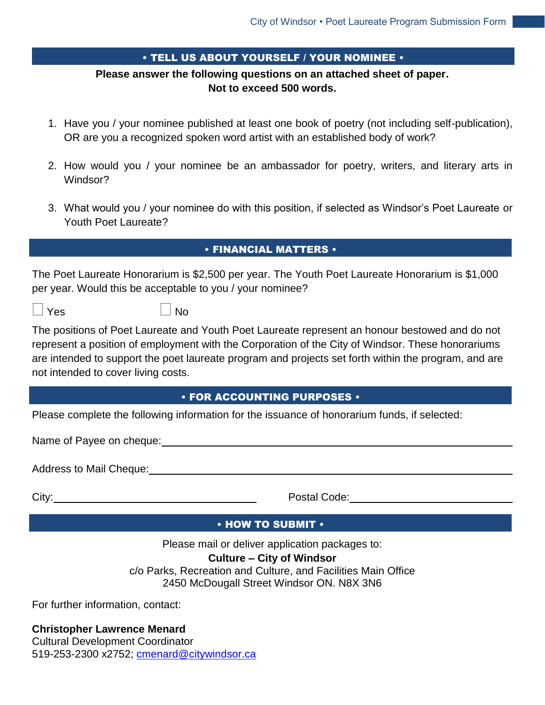#### • TELL US ABOUT YOURSELF / YOUR NOMINEE •

# **Please answer the following questions on an attached sheet of paper. Not to exceed 500 words.**

- 1. Have you / your nominee published at least one book of poetry (not including self-publication), OR are you a recognized spoken word artist with an established body of work?
- 2. How would you / your nominee be an ambassador for poetry, writers, and literary arts in Windsor?
- 3. What would you / your nominee do with this position, if selected as Windsor's Poet Laureate or Youth Poet Laureate?

## • FINANCIAL MATTERS •

The Poet Laureate Honorarium is \$2,500 per year. The Youth Poet Laureate Honorarium is \$1,000 per year. Would this be acceptable to you / your nominee?

| $\Box$ Yes | $\Box$ No |
|------------|-----------|
|            |           |

The positions of Poet Laureate and Youth Poet Laureate represent an honour bestowed and do not represent a position of employment with the Corporation of the City of Windsor. These honorariums are intended to support the poet laureate program and projects set forth within the program, and are not intended to cover living costs.

#### • FOR ACCOUNTING PURPOSES •

Please complete the following information for the issuance of honorarium funds, if selected:

Name of Payee on cheque:

Address to Mail Cheque:

| ۹ |  |
|---|--|

Postal Code: Note that the postal Code:

#### • HOW TO SUBMIT •

Please mail or deliver application packages to:

# **Culture – City of Windsor**

c/o Parks, Recreation and Culture, and Facilities Main Office 2450 McDougall Street Windsor ON. N8X 3N6

For further information, contact:

**Christopher Lawrence Menard** Cultural Development Coordinator

519-253-2300 x2752; **cmenard@citywindsor.ca**